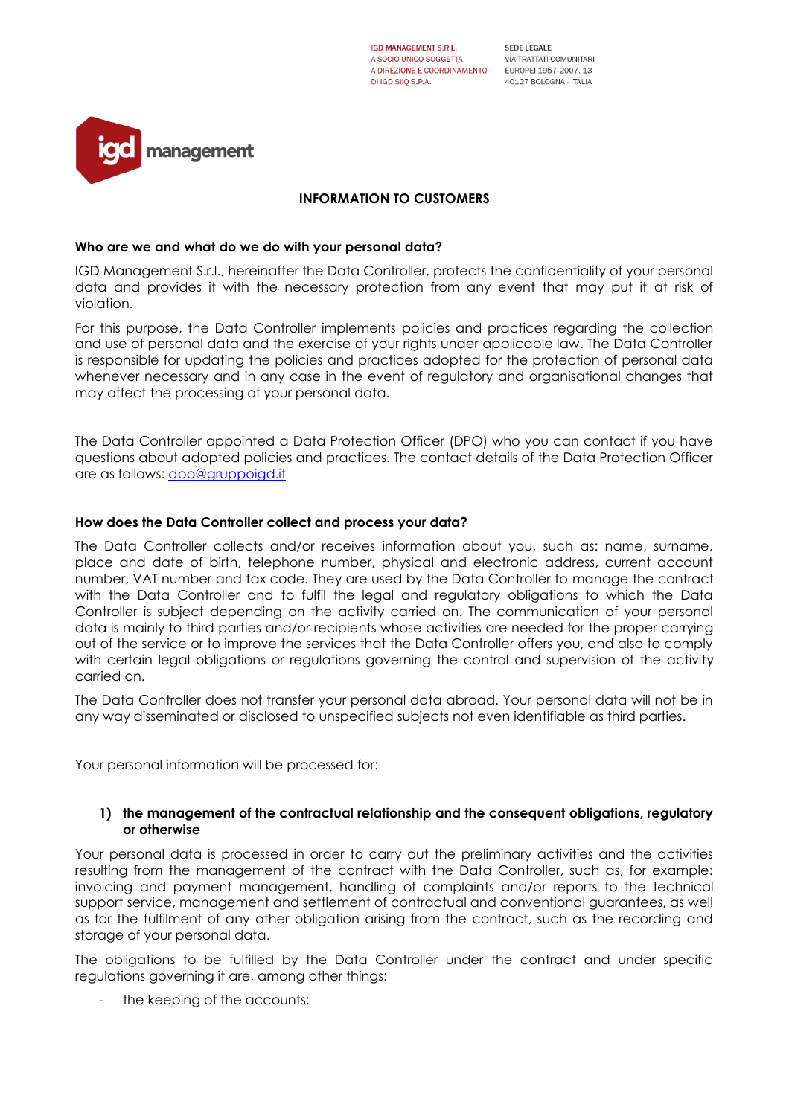**IGD MANAGEMENT S.R.L.** A SOCIO UNICO SOGGETTA A DIREZIONE E COORDINAMENTO DI IGD SIIQ S.P.A.

**SEDE LEGALE** VIA TRATTATI COMUNITARI EUROPEI 1957-2007, 13 40127 BOLOGNA - ITALIA



# **INFORMATION TO CUSTOMERS**

### **Who are we and what do we do with your personal data?**

IGD Management S.r.l., hereinafter the Data Controller, protects the confidentiality of your personal data and provides it with the necessary protection from any event that may put it at risk of violation.

For this purpose, the Data Controller implements policies and practices regarding the collection and use of personal data and the exercise of your rights under applicable law. The Data Controller is responsible for updating the policies and practices adopted for the protection of personal data whenever necessary and in any case in the event of regulatory and organisational changes that may affect the processing of your personal data.

The Data Controller appointed a Data Protection Officer (DPO) who you can contact if you have questions about adopted policies and practices. The contact details of the Data Protection Officer are as follows: [dpo@gruppoigd.it](dpo@gruppoigd.it%20)

### **How does the Data Controller collect and process your data?**

The Data Controller collects and/or receives information about you, such as: name, surname, place and date of birth, telephone number, physical and electronic address, current account number, VAT number and tax code. They are used by the Data Controller to manage the contract with the Data Controller and to fulfil the legal and regulatory obligations to which the Data Controller is subject depending on the activity carried on. The communication of your personal data is mainly to third parties and/or recipients whose activities are needed for the proper carrying out of the service or to improve the services that the Data Controller offers you, and also to comply with certain legal obligations or regulations governing the control and supervision of the activity carried on.

The Data Controller does not transfer your personal data abroad. Your personal data will not be in any way disseminated or disclosed to unspecified subjects not even identifiable as third parties.

Your personal information will be processed for:

# **1) the management of the contractual relationship and the consequent obligations, regulatory or otherwise**

Your personal data is processed in order to carry out the preliminary activities and the activities resulting from the management of the contract with the Data Controller, such as, for example: invoicing and payment management, handling of complaints and/or reports to the technical support service, management and settlement of contractual and conventional guarantees, as well as for the fulfilment of any other obligation arising from the contract, such as the recording and storage of your personal data.

The obligations to be fulfilled by the Data Controller under the contract and under specific regulations governing it are, among other things:

the keeping of the accounts;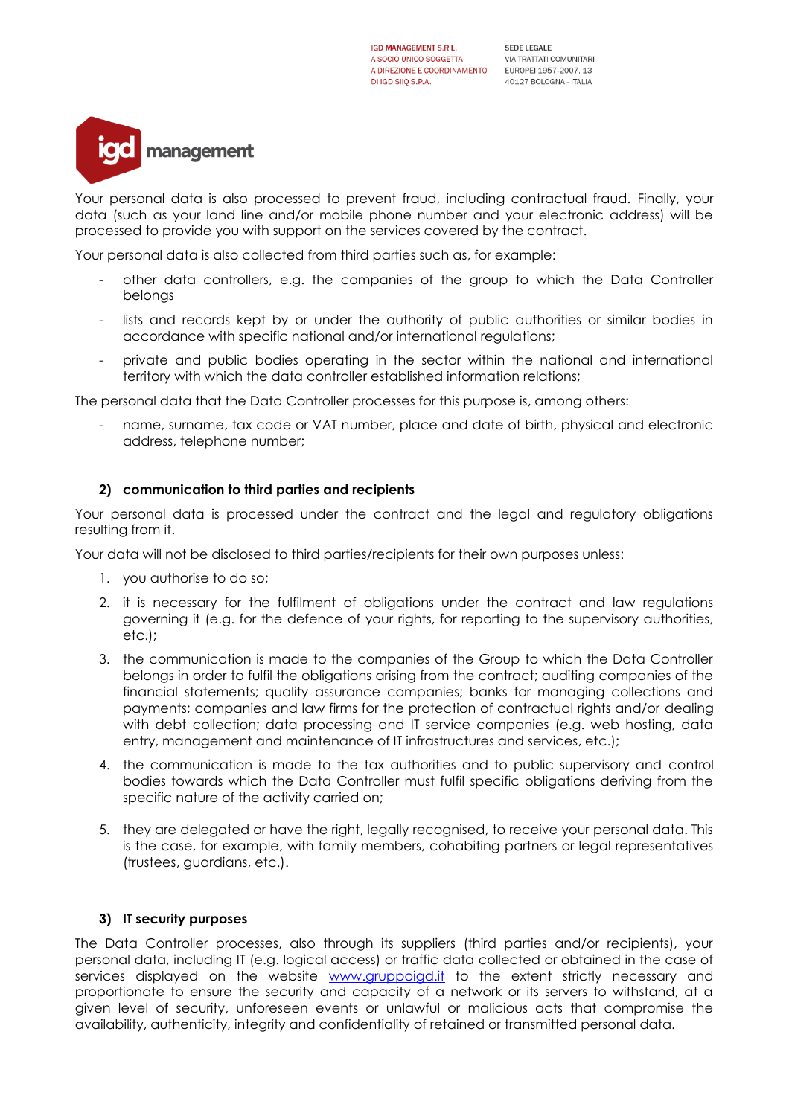**SEDE LEGALE** VIA TRATTATI COMUNITARI EUROPEI 1957-2007, 13 40127 BOLOGNA - ITALIA



Your personal data is also processed to prevent fraud, including contractual fraud. Finally, your data (such as your land line and/or mobile phone number and your electronic address) will be processed to provide you with support on the services covered by the contract.

Your personal data is also collected from third parties such as, for example:

- other data controllers, e.g. the companies of the group to which the Data Controller belongs
- lists and records kept by or under the authority of public authorities or similar bodies in accordance with specific national and/or international regulations;
- private and public bodies operating in the sector within the national and international territory with which the data controller established information relations;

The personal data that the Data Controller processes for this purpose is, among others:

name, surname, tax code or VAT number, place and date of birth, physical and electronic address, telephone number;

# **2) communication to third parties and recipients**

Your personal data is processed under the contract and the legal and regulatory obligations resulting from it.

Your data will not be disclosed to third parties/recipients for their own purposes unless:

- 1. you authorise to do so;
- 2. it is necessary for the fulfilment of obligations under the contract and law regulations governing it (e.g. for the defence of your rights, for reporting to the supervisory authorities, etc.);
- 3. the communication is made to the companies of the Group to which the Data Controller belongs in order to fulfil the obligations arising from the contract; auditing companies of the financial statements; quality assurance companies; banks for managing collections and payments; companies and law firms for the protection of contractual rights and/or dealing with debt collection; data processing and IT service companies (e.g. web hosting, data entry, management and maintenance of IT infrastructures and services, etc.);
- 4. the communication is made to the tax authorities and to public supervisory and control bodies towards which the Data Controller must fulfil specific obligations deriving from the specific nature of the activity carried on;
- 5. they are delegated or have the right, legally recognised, to receive your personal data. This is the case, for example, with family members, cohabiting partners or legal representatives (trustees, guardians, etc.).

# **3) IT security purposes**

The Data Controller processes, also through its suppliers (third parties and/or recipients), your personal data, including IT (e.g. logical access) or traffic data collected or obtained in the case of services displayed on the website [www.gruppoigd.it](http://www.gruppoigd.it/) to the extent strictly necessary and proportionate to ensure the security and capacity of a network or its servers to withstand, at a given level of security, unforeseen events or unlawful or malicious acts that compromise the availability, authenticity, integrity and confidentiality of retained or transmitted personal data.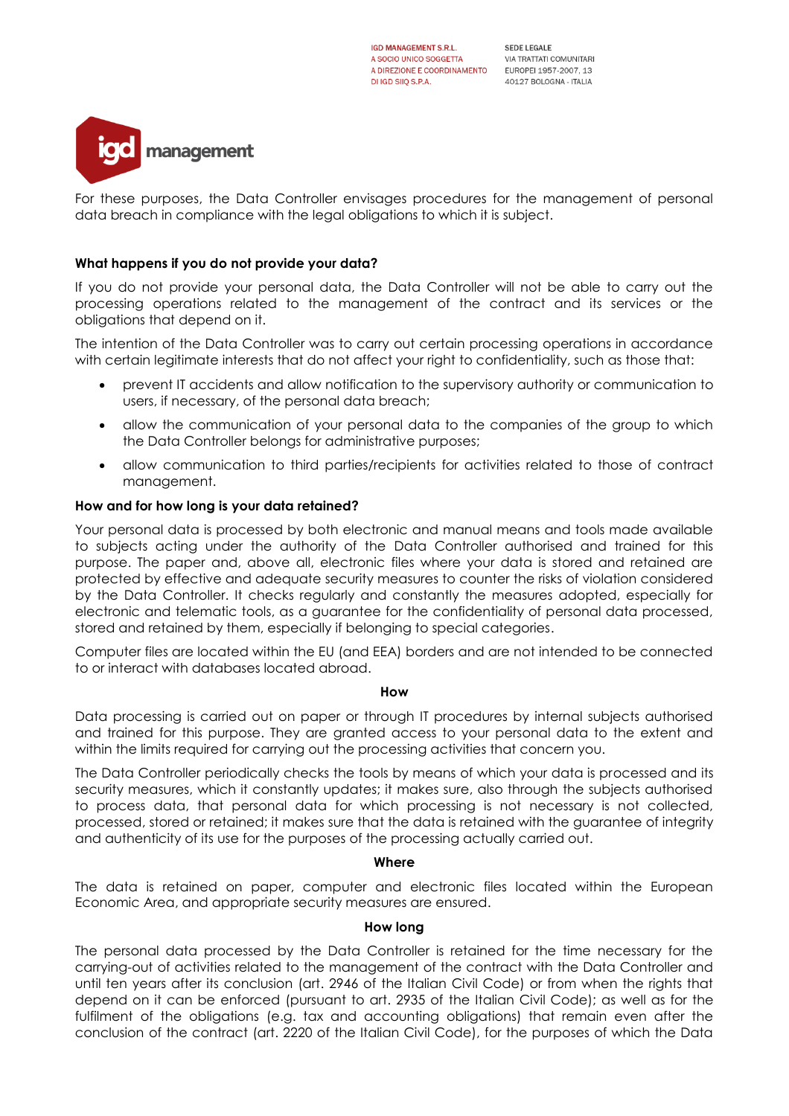**SEDE LEGALE** VIA TRATTATI COMUNITARI EUROPEI 1957-2007, 13 40127 BOLOGNA - ITALIA



For these purposes, the Data Controller envisages procedures for the management of personal data breach in compliance with the legal obligations to which it is subject.

# **What happens if you do not provide your data?**

If you do not provide your personal data, the Data Controller will not be able to carry out the processing operations related to the management of the contract and its services or the obligations that depend on it.

The intention of the Data Controller was to carry out certain processing operations in accordance with certain legitimate interests that do not affect your right to confidentiality, such as those that:

- prevent IT accidents and allow notification to the supervisory authority or communication to users, if necessary, of the personal data breach;
- allow the communication of your personal data to the companies of the group to which the Data Controller belongs for administrative purposes;
- allow communication to third parties/recipients for activities related to those of contract management.

### **How and for how long is your data retained?**

Your personal data is processed by both electronic and manual means and tools made available to subjects acting under the authority of the Data Controller authorised and trained for this purpose. The paper and, above all, electronic files where your data is stored and retained are protected by effective and adequate security measures to counter the risks of violation considered by the Data Controller. It checks regularly and constantly the measures adopted, especially for electronic and telematic tools, as a guarantee for the confidentiality of personal data processed, stored and retained by them, especially if belonging to special categories.

Computer files are located within the EU (and EEA) borders and are not intended to be connected to or interact with databases located abroad.

#### **How**

Data processing is carried out on paper or through IT procedures by internal subjects authorised and trained for this purpose. They are granted access to your personal data to the extent and within the limits required for carrying out the processing activities that concern you.

The Data Controller periodically checks the tools by means of which your data is processed and its security measures, which it constantly updates; it makes sure, also through the subjects authorised to process data, that personal data for which processing is not necessary is not collected, processed, stored or retained; it makes sure that the data is retained with the guarantee of integrity and authenticity of its use for the purposes of the processing actually carried out.

#### **Where**

The data is retained on paper, computer and electronic files located within the European Economic Area, and appropriate security measures are ensured.

#### **How long**

The personal data processed by the Data Controller is retained for the time necessary for the carrying-out of activities related to the management of the contract with the Data Controller and until ten years after its conclusion (art. 2946 of the Italian Civil Code) or from when the rights that depend on it can be enforced (pursuant to art. 2935 of the Italian Civil Code); as well as for the fulfilment of the obligations (e.g. tax and accounting obligations) that remain even after the conclusion of the contract (art. 2220 of the Italian Civil Code), for the purposes of which the Data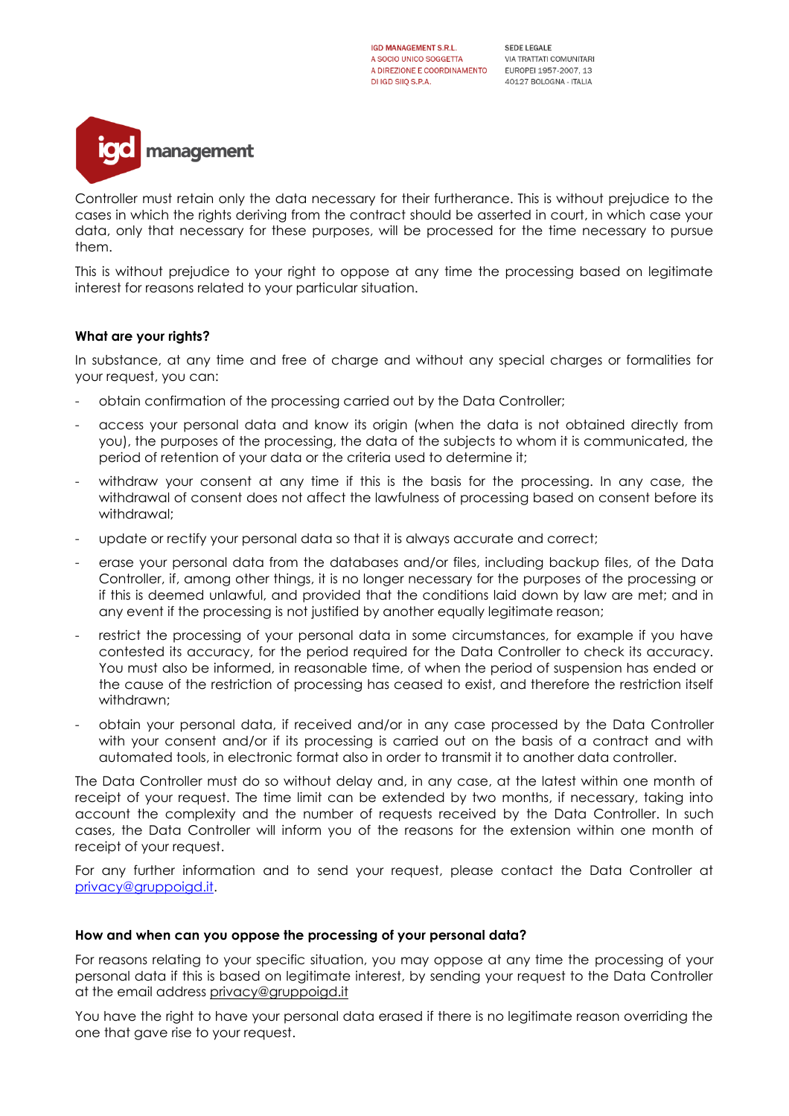**SEDE LEGALE** VIA TRATTATI COMUNITARI EUROPEI 1957-2007, 13 40127 BOLOGNA - ITALIA



Controller must retain only the data necessary for their furtherance. This is without prejudice to the cases in which the rights deriving from the contract should be asserted in court, in which case your data, only that necessary for these purposes, will be processed for the time necessary to pursue them.

This is without prejudice to your right to oppose at any time the processing based on legitimate interest for reasons related to your particular situation.

# **What are your rights?**

In substance, at any time and free of charge and without any special charges or formalities for your request, you can:

- obtain confirmation of the processing carried out by the Data Controller;
- access your personal data and know its origin (when the data is not obtained directly from you), the purposes of the processing, the data of the subjects to whom it is communicated, the period of retention of your data or the criteria used to determine it;
- withdraw your consent at any time if this is the basis for the processing. In any case, the withdrawal of consent does not affect the lawfulness of processing based on consent before its withdrawal;
- update or rectify your personal data so that it is always accurate and correct;
- erase your personal data from the databases and/or files, including backup files, of the Data Controller, if, among other things, it is no longer necessary for the purposes of the processing or if this is deemed unlawful, and provided that the conditions laid down by law are met; and in any event if the processing is not justified by another equally legitimate reason;
- restrict the processing of your personal data in some circumstances, for example if you have contested its accuracy, for the period required for the Data Controller to check its accuracy. You must also be informed, in reasonable time, of when the period of suspension has ended or the cause of the restriction of processing has ceased to exist, and therefore the restriction itself withdrawn;
- obtain your personal data, if received and/or in any case processed by the Data Controller with your consent and/or if its processing is carried out on the basis of a contract and with automated tools, in electronic format also in order to transmit it to another data controller.

The Data Controller must do so without delay and, in any case, at the latest within one month of receipt of your request. The time limit can be extended by two months, if necessary, taking into account the complexity and the number of requests received by the Data Controller. In such cases, the Data Controller will inform you of the reasons for the extension within one month of receipt of your request.

For any further information and to send your request, please contact the Data Controller at [privacy@gruppoigd.it.](mailto:privacy@gruppoigd.it)

#### **How and when can you oppose the processing of your personal data?**

For reasons relating to your specific situation, you may oppose at any time the processing of your personal data if this is based on legitimate interest, by sending your request to the Data Controller at the email address [privacy@gruppoigd.it](mailto:privacy@gruppoigd.it)

You have the right to have your personal data erased if there is no legitimate reason overriding the one that gave rise to your request.